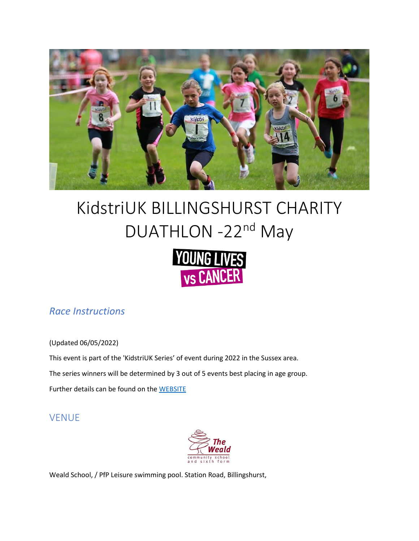

# KidstriUK BILLINGSHURST CHARITY DUATHLON -22<sup>nd</sup> May



# *Race Instructions*

(Updated 06/05/2022)

This event is part of the 'KidstriUK Series' of event during 2022 in the Sussex area. The series winners will be determined by 3 out of 5 events best placing in age group.

Further details can be found on the [WEBSITE](https://kidstri.co.uk/kidstriseries.php)

# VENUE



Weald School, / PfP Leisure swimming pool. Station Road, Billingshurst,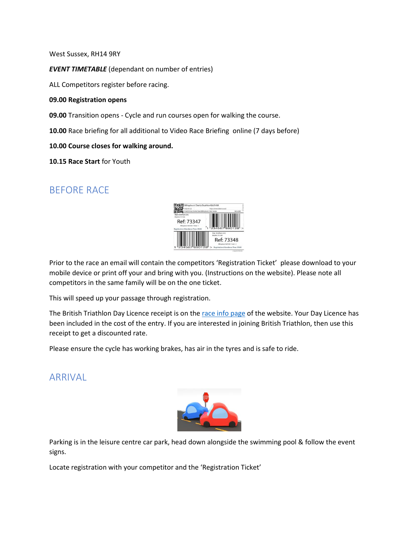West Sussex, RH14 9RY

*EVENT TIMETABLE* (dependant on number of entries)

ALL Competitors register before racing.

#### **09.00 Registration opens**

**09.00** Transition opens - Cycle and run courses open for walking the course.

**10.00** Race briefing for all additional to Video Race Briefing online (7 days before)

#### **10.00 Course closes for walking around.**

**10.15 Race Start** for Youth

#### BEFORE RACE



Prior to the race an email will contain the competitors 'Registration Ticket' please download to your mobile device or print off your and bring with you. (Instructions on the website). Please note all competitors in the same family will be on the one ticket.

This will speed up your passage through registration.

The British Triathlon Day Licence receipt is on the [race info page](https://kidstri.co.uk/raceinfo.php) of the website. Your Day Licence has been included in the cost of the entry. If you are interested in joining British Triathlon, then use this receipt to get a discounted rate.

Please ensure the cycle has working brakes, has air in the tyres and is safe to ride.

#### **ARRIVAL**



Parking is in the leisure centre car park, head down alongside the swimming pool & follow the event signs.

Locate registration with your competitor and the 'Registration Ticket'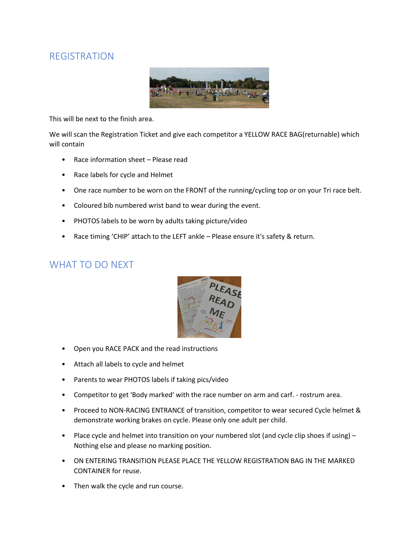#### REGISTRATION



This will be next to the finish area.

We will scan the Registration Ticket and give each competitor a YELLOW RACE BAG(returnable) which will contain

- Race information sheet Please read
- Race labels for cycle and Helmet
- One race number to be worn on the FRONT of the running/cycling top or on your Tri race belt.
- Coloured bib numbered wrist band to wear during the event.
- PHOTOS labels to be worn by adults taking picture/video
- Race timing 'CHIP' attach to the LEFT ankle Please ensure it's safety & return.

# WHAT TO DO NEXT



- Open you RACE PACK and the read instructions
- Attach all labels to cycle and helmet
- Parents to wear PHOTOS labels if taking pics/video
- Competitor to get 'Body marked' with the race number on arm and carf. rostrum area.
- Proceed to NON-RACING ENTRANCE of transition, competitor to wear secured Cycle helmet & demonstrate working brakes on cycle. Please only one adult per child.
- Place cycle and helmet into transition on your numbered slot (and cycle clip shoes if using) Nothing else and please no marking position.
- ON ENTERING TRANSITION PLEASE PLACE THE YELLOW REGISTRATION BAG IN THE MARKED CONTAINER for reuse.
- Then walk the cycle and run course.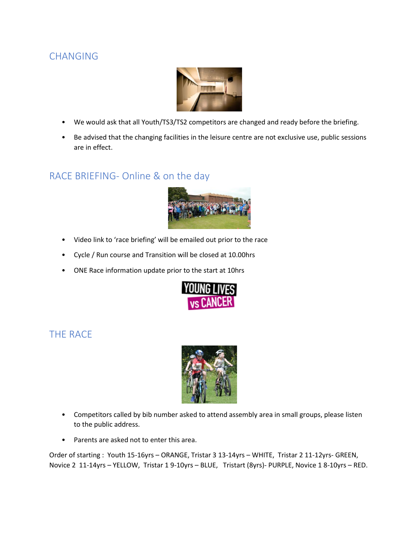# CHANGING



- We would ask that all Youth/TS3/TS2 competitors are changed and ready before the briefing.
- Be advised that the changing facilities in the leisure centre are not exclusive use, public sessions are in effect.

#### RACE BRIEFING- Online & on the day



- Video link to 'race briefing' will be emailed out prior to the race
- Cycle / Run course and Transition will be closed at 10.00hrs
- ONE Race information update prior to the start at 10hrs



# THE RACE



- Competitors called by bib number asked to attend assembly area in small groups, please listen to the public address.
- Parents are asked not to enter this area.

Order of starting : Youth 15-16yrs – ORANGE, Tristar 3 13-14yrs – WHITE, Tristar 2 11-12yrs- GREEN, Novice 2 11-14yrs – YELLOW, Tristar 1 9-10yrs – BLUE, Tristart (8yrs)- PURPLE, Novice 1 8-10yrs – RED.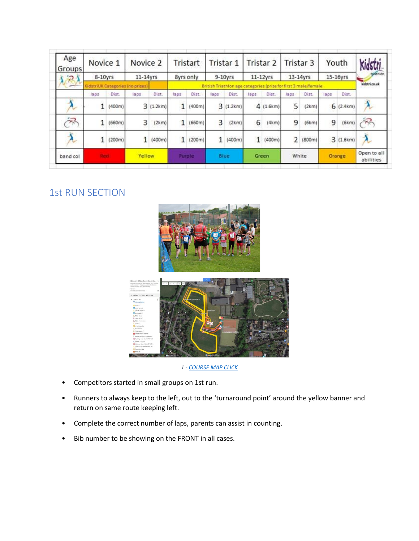| Age<br>Groups | Novice 1<br>8-10yrs              |        | Novice 2<br>$11-14$ yrs |                                                                 | Tristart<br>8yrs only |        | Tristar 1<br>$9-10$ vrs |          | Tristar 2<br>$11 - 12$ yrs |          | Tristar 3<br>13-14yrs |               | Youth<br>15-16yrs |          | Kidstri                  |
|---------------|----------------------------------|--------|-------------------------|-----------------------------------------------------------------|-----------------------|--------|-------------------------|----------|----------------------------|----------|-----------------------|---------------|-------------------|----------|--------------------------|
| 7)            |                                  |        |                         |                                                                 |                       |        |                         |          |                            |          |                       |               |                   |          |                          |
|               | KidstriUK Categories (no prizes) |        |                         | British Triathlon age categories (prize for first 3 male/female |                       |        |                         |          |                            |          |                       | kidstri.co.uk |                   |          |                          |
|               | laps                             | Dist.  | laps                    | Dist.                                                           | laps                  | Dist.  | laps:                   | Dist.    | laps                       | Dist.    | laps                  | Dist.         | laps              | Dist.    |                          |
|               |                                  | (400m) | 3 <sub>0</sub>          | (1.2km)                                                         | 1                     | (400m) |                         | 3(1.2km) |                            | 4(1.6km) | 5                     | (2km)         | 6                 | (2.4km)  | $\lambda$                |
| 深             | 1                                | (660m) | 3                       | (2km)                                                           | 1                     | (660m) | 3                       | (2km)    | 6                          | (4km)    | 9                     | (6km)         | 9                 | (6km)    | 罕                        |
| $\lambda$     | 1                                | (200m) |                         | (400m)                                                          | 1                     | (200m) | 1                       | (400m)   | 1                          | (400m)   | $\overline{2}$        | (800m)        |                   | 3(1.6km) |                          |
| band col      | Rent                             |        | Yellow                  |                                                                 | <b>Purple</b>         |        | <b>Blue</b>             |          | Green                      |          | White                 |               | Orange            |          | Open to all<br>abilities |

# 1st RUN SECTION





- Competitors started in small groups on 1st run.
- Runners to always keep to the left, out to the 'turnaround point' around the yellow banner and return on same route keeping left.
- Complete the correct number of laps, parents can assist in counting.
- Bib number to be showing on the FRONT in all cases.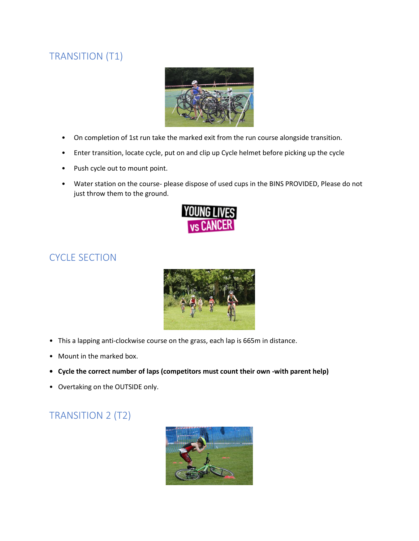# TRANSITION (T1)



- On completion of 1st run take the marked exit from the run course alongside transition.
- Enter transition, locate cycle, put on and clip up Cycle helmet before picking up the cycle
- Push cycle out to mount point.
- Water station on the course- please dispose of used cups in the BINS PROVIDED, Please do not just throw them to the ground.



# CYCLE SECTION



- This a lapping anti-clockwise course on the grass, each lap is 665m in distance.
- Mount in the marked box.
- **• Cycle the correct number of laps (competitors must count their own -with parent help)**
- Overtaking on the OUTSIDE only.

# TRANSITION 2 (T2)

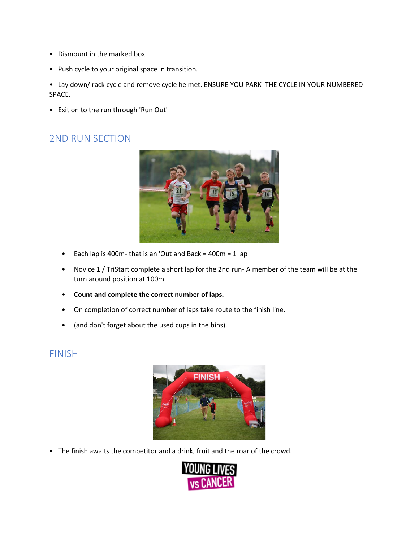- Dismount in the marked box.
- Push cycle to your original space in transition.

• Lay down/ rack cycle and remove cycle helmet. ENSURE YOU PARK THE CYCLE IN YOUR NUMBERED SPACE.

• Exit on to the run through 'Run Out'

# 2ND RUN SECTION



- Each lap is 400m- that is an 'Out and Back'=  $400m = 1$  lap
- Novice 1 / TriStart complete a short lap for the 2nd run- A member of the team will be at the turn around position at 100m
- **Count and complete the correct number of laps.**
- On completion of correct number of laps take route to the finish line.
- (and don't forget about the used cups in the bins).

#### FINISH



• The finish awaits the competitor and a drink, fruit and the roar of the crowd.

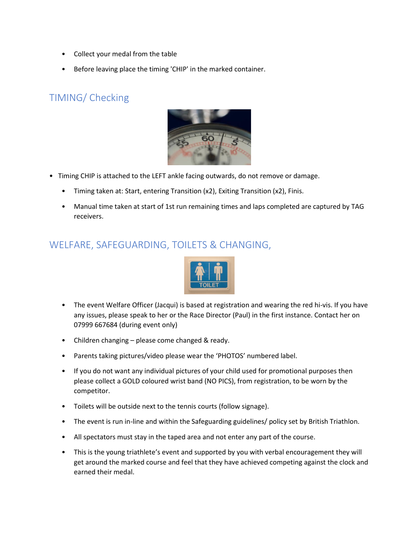- Collect your medal from the table
- Before leaving place the timing 'CHIP' in the marked container.

# TIMING/ Checking



- Timing CHIP is attached to the LEFT ankle facing outwards, do not remove or damage.
	- Timing taken at: Start, entering Transition (x2), Exiting Transition (x2), Finis.
	- Manual time taken at start of 1st run remaining times and laps completed are captured by TAG receivers.

# WELFARE, SAFEGUARDING, TOILETS & CHANGING,



- The event Welfare Officer (Jacqui) is based at registration and wearing the red hi-vis. If you have any issues, please speak to her or the Race Director (Paul) in the first instance. Contact her on 07999 667684 (during event only)
- Children changing please come changed & ready.
- Parents taking pictures/video please wear the 'PHOTOS' numbered label.
- If you do not want any individual pictures of your child used for promotional purposes then please collect a GOLD coloured wrist band (NO PICS), from registration, to be worn by the competitor.
- Toilets will be outside next to the tennis courts (follow signage).
- The event is run in-line and within the Safeguarding guidelines/ policy set by British Triathlon.
- All spectators must stay in the taped area and not enter any part of the course.
- This is the young triathlete's event and supported by you with verbal encouragement they will get around the marked course and feel that they have achieved competing against the clock and earned their medal.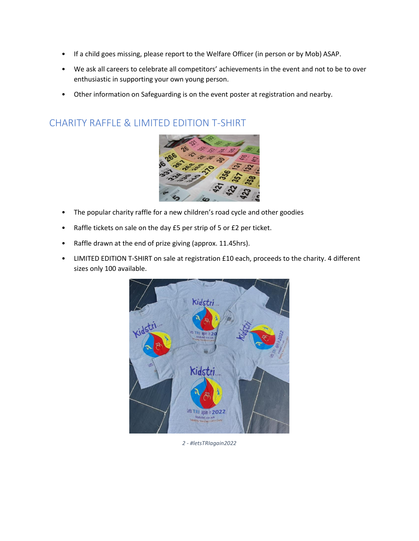- If a child goes missing, please report to the Welfare Officer (in person or by Mob) ASAP.
- We ask all careers to celebrate all competitors' achievements in the event and not to be to over enthusiastic in supporting your own young person.
- Other information on Safeguarding is on the event poster at registration and nearby.

# CHARITY RAFFLE & LIMITED EDITION T-SHIRT



- The popular charity raffle for a new children's road cycle and other goodies
- Raffle tickets on sale on the day £5 per strip of 5 or £2 per ticket.
- Raffle drawn at the end of prize giving (approx. 11.45hrs).
- LIMITED EDITION T-SHIRT on sale at registration £10 each, proceeds to the charity. 4 different sizes only 100 available.



*2 - #letsTRIagain2022*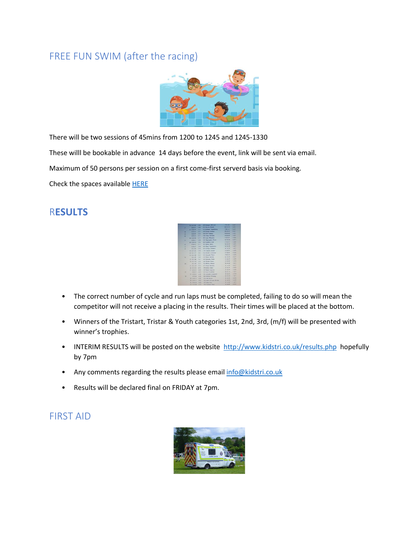#### FREE FUN SWIM (after the racing)



There will be two sessions of 45mins from 1200 to 1245 and 1245-1330

These willl be bookable in advance 14 days before the event, link will be sent via email.

Maximum of 50 persons per session on a first come-first serverd basis via booking.

Check the spaces available [HERE](https://kidstri.co.uk/Billfunswim.php)

#### R**ESULTS**

|           | 14 877 14             | <b>STAR</b> | <b>TEST Minesoul McCond</b> | P. LS. TE       | <b>Saft</b>       |  |
|-----------|-----------------------|-------------|-----------------------------|-----------------|-------------------|--|
| м         | 0.7411                | 5.38        | 471 Toron Kleyh             | <b>MEEN-29</b>  | $1 - 1$           |  |
| ٠         | 11 82929              | N22         | 434 Smitney, Studenberg     | <b>FBU14</b>    | 2483              |  |
| ×         | 62833                 | 522         | 419 Deeper Molton           | <b>ME20.26</b>  | 1107              |  |
| m         | 0.29.44               | 5.94        | 456 Bob Robert              | <b>MAR 46</b>   | 145               |  |
| $\infty$  | 8.78.16               | 5.57        | <b>Ata Denis McNalle</b>    | <b>MAD.00</b>   | 3462              |  |
|           | 18 0:30 DE            | \$37        | 800 Line Marsons            | \$56.59         | $S$ ext $S$       |  |
| я         | 6:58:13               | 5.50        | 641 Claudinder Natur        | <b>M 10.19</b>  | Kork <sup>k</sup> |  |
|           | <b>19 6 50 20 C</b>   | 3.36        | ant Kathen like             | F10.59          | $2$ of 6          |  |
| ×         | 610-32                | 5.57        | (d) Widty Barro             | <b>16 SE 18</b> | $1 + 11$          |  |
| ×         | 4146.51               | $-2.08$     | 453 Chry Stederates         | 54'00.36        | 5.483             |  |
| ×         | 0.33.97               | 5.98        | 661 General Statement       | ME 788-791      | $1 + 1$           |  |
|           | <b>TO A SERE</b>      | $^{20}$     | 510 Canami Girset           | E59-76          | 3.066             |  |
|           | $-9113.27$<br>Ħ       | <b>Kall</b> | 426 Norde, Leonardo         | 27.45.49        | $1 - 40$          |  |
|           | <b>XX 0.12 18</b>     | $2 - 4$     | <b>441 Annuals Nans</b>     | $x = 1.14$      | 1164              |  |
| ۰         | <b>B 95.45</b>        | 1.46        | 459 Wrong Stachur           | $M$ 20-20       | <b>Kid T</b>      |  |
|           | 24 William            | 6.87        | <b>Add Kinstean Poster</b>  | 2.10.76         | $x \neq 0$        |  |
|           | 34 833 56             | 5.48        | are would divers            | 1.11.1          | 5.000             |  |
| <b>DR</b> | # 57.18               | \$50        | All More Mayer              | $5648 - 48$     | $3$ ed $3$        |  |
|           | 22 0 15 34            | 1.77        | <b>STI Kela Tiennes</b>     | 215.24          | <b>WART</b>       |  |
|           | 26 8115 10            | 4.93        | 990 Genta Chave             | at this link.   | <b>Kyd'rk</b>     |  |
|           | 21.03422              | 16.04       | 107 Eath Catamin            | T 76.59         | Sud 6             |  |
| z.        | <b>WEEKS</b>          | W.M.        | 115 Inel Cordans            | <b>MOLE4</b>    | <b>Tief</b> 2     |  |
|           | 18 (8.3.2.83)         | <b>KIN</b>  | III Assaule Convertible     | \$120,78        | Avid #            |  |
| m         | <b>R. S. Jr. Jack</b> | 4 14        | 440 Mulheri Timaka          | MONTH.          | Fuel 1            |  |
|           | 36 81 Av. 53          | $\times10$  | <b>NO liefs Driver</b>      | <b>ETHON</b>    | <b>ALLE ALL</b>   |  |
|           | <b>WEENT</b><br>×     | 9.25        | 210 Saart St Loan Drinks    | Millerine       | 4984              |  |
|           | 0.14.38<br>н          | 16.24       | <b>472 India Franc</b>      | <b>EX536</b>    | <b>TIGHT</b>      |  |
|           | 91418<br>н            | 4.74        | 530 Carden Prek-            | 8.98.48         | died in           |  |

- The correct number of cycle and run laps must be completed, failing to do so will mean the competitor will not receive a placing in the results. Their times will be placed at the bottom.
- Winners of the Tristart, Tristar & Youth categories 1st, 2nd, 3rd, (m/f) will be presented with winner's trophies.
- INTERIM RESULTS will be posted on the website<http://www.kidstri.co.uk/results.php>hopefully by 7pm
- Any comments regarding the results please email [info@kidstri.co.uk](mailto:info@kidstri.co.uk)
- Results will be declared final on FRIDAY at 7pm.

#### FIRST AID

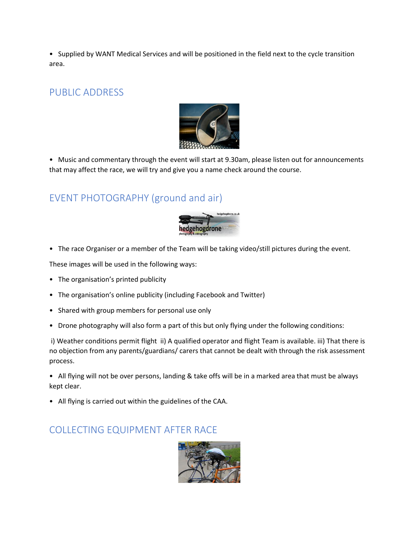• Supplied by WANT Medical Services and will be positioned in the field next to the cycle transition area.

### PUBLIC ADDRESS



• Music and commentary through the event will start at 9.30am, please listen out for announcements that may affect the race, we will try and give you a name check around the course.

# EVENT PHOTOGRAPHY (ground and air)



• The race Organiser or a member of the Team will be taking video/still pictures during the event.

These images will be used in the following ways:

- The organisation's printed publicity
- The organisation's online publicity (including Facebook and Twitter)
- Shared with group members for personal use only
- Drone photography will also form a part of this but only flying under the following conditions:

i) Weather conditions permit flight ii) A qualified operator and flight Team is available. iii) That there is no objection from any parents/guardians/ carers that cannot be dealt with through the risk assessment process.

• All flying will not be over persons, landing & take offs will be in a marked area that must be always kept clear.

• All flying is carried out within the guidelines of the CAA.

#### COLLECTING EQUIPMENT AFTER RACE

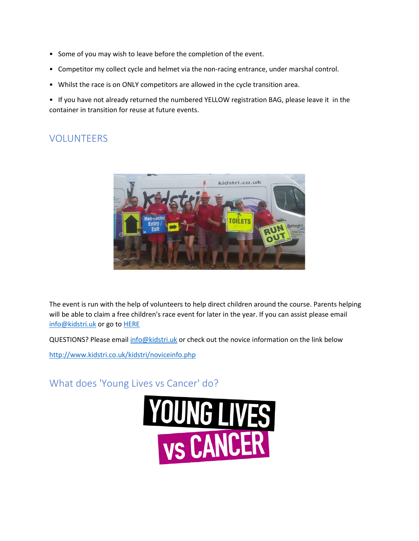- Some of you may wish to leave before the completion of the event.
- Competitor my collect cycle and helmet via the non-racing entrance, under marshal control.
- Whilst the race is on ONLY competitors are allowed in the cycle transition area.

• If you have not already returned the numbered YELLOW registration BAG, please leave it in the container in transition for reuse at future events.

# VOLUNTEERS



The event is run with the help of volunteers to help direct children around the course. Parents helping will be able to claim a free children's race event for later in the year. If you can assist please email [info@kidstri.uk](mailto:info@kidstri.uk) or go t[o HERE](https://kidstri.co.uk/help.php)

QUESTIONS? Please email [info@kidstri.uk](mailto:info@kidstri.uk) or check out the novice information on the link below

<http://www.kidstri.co.uk/kidstri/noviceinfo.php>

What does 'Young Lives vs Cancer' do?

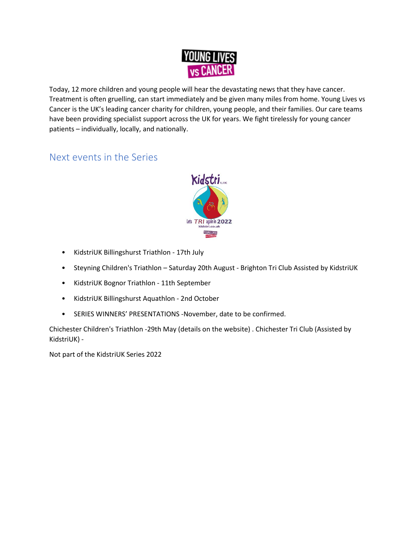

Today, 12 more children and young people will hear the devastating news that they have cancer. Treatment is often gruelling, can start immediately and be given many miles from home. Young Lives vs Cancer is the UK's leading cancer charity for children, young people, and their families. Our care teams have been providing specialist support across the UK for years. We fight tirelessly for young cancer patients – individually, locally, and nationally.

# Next events in the Series



- KidstriUK Billingshurst Triathlon 17th July
- Steyning Children's Triathlon Saturday 20th August Brighton Tri Club Assisted by KidstriUK
- KidstriUK Bognor Triathlon 11th September
- KidstriUK Billingshurst Aquathlon 2nd October
- SERIES WINNERS' PRESENTATIONS -November, date to be confirmed.

Chichester Children's Triathlon -29th May (details on the website) . Chichester Tri Club (Assisted by KidstriUK) -

Not part of the KidstriUK Series 2022